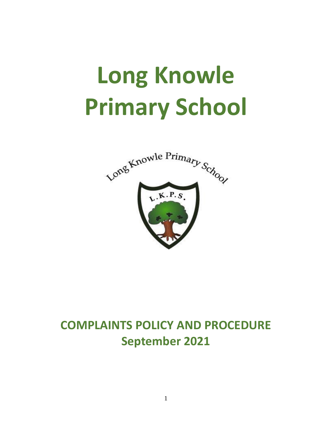# **Long Knowle Primary School**



## **COMPLAINTS POLICY AND PROCEDURE September 2021**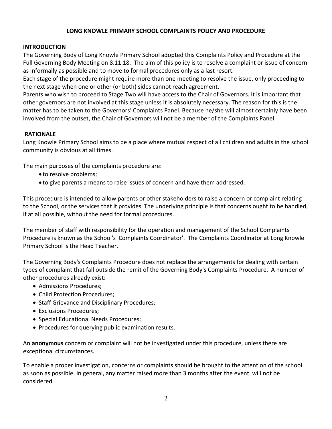#### **LONG KNOWLE PRIMARY SCHOOL COMPLAINTS POLICY AND PROCEDURE**

#### **INTRODUCTION**

The Governing Body of Long Knowle Primary School adopted this Complaints Policy and Procedure at the Full Governing Body Meeting on 8.11.18. The aim of this policy is to resolve a complaint or issue of concern as informally as possible and to move to formal procedures only as a last resort.

Each stage of the procedure might require more than one meeting to resolve the issue, only proceeding to the next stage when one or other (or both) sides cannot reach agreement.

Parents who wish to proceed to Stage Two will have access to the Chair of Governors. It is important that other governors are not involved at this stage unless it is absolutely necessary. The reason for this is the matter has to be taken to the Governors' Complaints Panel. Because he/she will almost certainly have been involved from the outset, the Chair of Governors will not be a member of the Complaints Panel.

#### **RATIONALE**

Long Knowle Primary School aims to be a place where mutual respect of all children and adults in the school community is obvious at all times.

The main purposes of the complaints procedure are:

- to resolve problems;
- to give parents a means to raise issues of concern and have them addressed.

This procedure is intended to allow parents or other stakeholders to raise a concern or complaint relating to the School, or the services that it provides. The underlying principle is that concerns ought to be handled, if at all possible, without the need for formal procedures.

The member of staff with responsibility for the operation and management of the School Complaints Procedure is known as the School's 'Complaints Coordinator'. The Complaints Coordinator at Long Knowle Primary School is the Head Teacher.

The Governing Body's Complaints Procedure does not replace the arrangements for dealing with certain types of complaint that fall outside the remit of the Governing Body's Complaints Procedure. A number of other procedures already exist:

- Admissions Procedures;
- Child Protection Procedures;
- Staff Grievance and Disciplinary Procedures;
- Exclusions Procedures;
- Special Educational Needs Procedures;
- Procedures for querying public examination results.

An **anonymous** concern or complaint will not be investigated under this procedure, unless there are exceptional circumstances.

To enable a proper investigation, concerns or complaints should be brought to the attention of the school as soon as possible. In general, any matter raised more than 3 months after the event will not be considered.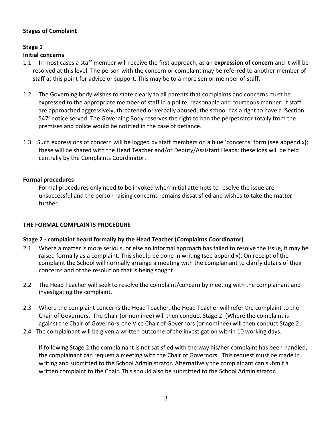#### **Stages of Complaint**

#### **Stage 1**

#### **Initial concerns**

- 1.1 In most cases a staff member will receive the first approach, as an **expression of concern** and it will be resolved at this level. The person with the concern or complaint may be referred to another member of staff at this point for advice or support. This may be to a more senior member of staff.
- 1.2 The Governing body wishes to state clearly to all parents that complaints and concerns must be expressed to the appropriate member of staff in a polite, reasonable and courteous manner. If staff are approached aggressively, threatened or verbally abused, the school has a right to have a 'Section 547' notice served. The Governing Body reserves the right to ban the perpetrator totally from the premises and police would be notified in the case of defiance.
- 1.3 Such expressions of concern will be logged by staff members on a blue 'concerns' form (see appendix); these will be shared with the Head Teacher and/or Deputy/Assistant Heads; these logs will be held centrally by the Complaints Coordinator.

#### . **Formal procedures**

Formal procedures only need to be invoked when initial attempts to resolve the issue are unsuccessful and the person raising concerns remains dissatisfied and wishes to take the matter further.

#### **THE FORMAL COMPLAINTS PROCEDURE**

#### **Stage 2 - complaint heard formally by the Head Teacher (Complaints Coordinator)**

- 2.1 Where a matter is more serious, or else an informal approach has failed to resolve the issue, it may be raised formally as a complaint. This should be done in writing (see appendix). On receipt of the complaint the School will normally arrange a meeting with the complainant to clarify details of their concerns and of the resolution that is being sought.
- 2.2 The Head Teacher will seek to resolve the complaint/concern by meeting with the complainant and investigating the complaint.
- 2.3 Where the complaint concerns the Head Teacher, the Head Teacher will refer the complaint to the Chair of Governors. The Chair (or nominee) will then conduct Stage 2. (Where the complaint is against the Chair of Governors, the Vice Chair of Governors (or nominee) will then conduct Stage 2.
- 2.4 The complainant will be given a written outcome of the investigation within 10 working days.

If following Stage 2 the complainant is not satisfied with the way his/her complaint has been handled, the complainant can request a meeting with the Chair of Governors. This request must be made in writing and submitted to the School Administrator. Alternatively the complainant can submit a written complaint to the Chair. This should also be submitted to the School Administrator.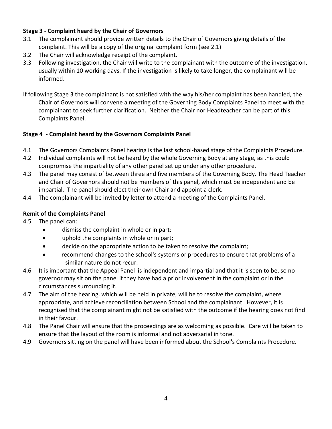#### **Stage 3 - Complaint heard by the Chair of Governors**

- 3.1 The complainant should provide written details to the Chair of Governors giving details of the complaint. This will be a copy of the original complaint form (see 2.1)
- 3.2 The Chair will acknowledge receipt of the complaint.
- 3.3 Following investigation, the Chair will write to the complainant with the outcome of the investigation, usually within 10 working days. If the investigation is likely to take longer, the complainant will be informed.
- If following Stage 3 the complainant is not satisfied with the way his/her complaint has been handled, the Chair of Governors will convene a meeting of the Governing Body Complaints Panel to meet with the complainant to seek further clarification. Neither the Chair nor Headteacher can be part of this Complaints Panel.

#### **Stage 4 - Complaint heard by the Governors Complaints Panel**

- 4.1 The Governors Complaints Panel hearing is the last school-based stage of the Complaints Procedure.
- 4.2 Individual complaints will not be heard by the whole Governing Body at any stage, as this could compromise the impartiality of any other panel set up under any other procedure.
- 4.3 The panel may consist of between three and five members of the Governing Body. The Head Teacher and Chair of Governors should not be members of this panel, which must be independent and be impartial. The panel should elect their own Chair and appoint a clerk.
- 4.4 The complainant will be invited by letter to attend a meeting of the Complaints Panel.

#### **Remit of the Complaints Panel**

- 4.5 The panel can:
	- dismiss the complaint in whole or in part:
	- uphold the complaints in whole or in part;
	- decide on the appropriate action to be taken to resolve the complaint;
	- recommend changes to the school's systems or procedures to ensure that problems of a similar nature do not recur.
- 4.6 It is important that the Appeal Panel is independent and impartial and that it is seen to be, so no governor may sit on the panel if they have had a prior involvement in the complaint or in the circumstances surrounding it.
- 4.7 The aim of the hearing, which will be held in private, will be to resolve the complaint, where appropriate, and achieve reconciliation between School and the complainant. However, it is recognised that the complainant might not be satisfied with the outcome if the hearing does not find in their favour.
- 4.8 The Panel Chair will ensure that the proceedings are as welcoming as possible. Care will be taken to ensure that the layout of the room is informal and not adversarial in tone.
- 4.9 Governors sitting on the panel will have been informed about the School's Complaints Procedure.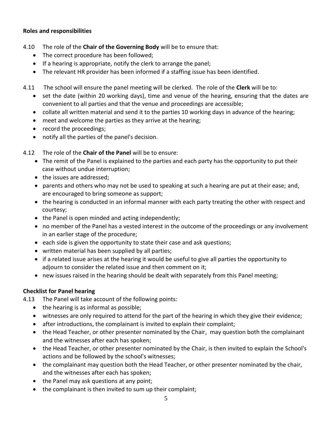#### **Roles and responsibilities**

- 4.10 The role of the **Chair of the Governing Body** will be to ensure that:
	- The correct procedure has been followed;
	- If a hearing is appropriate, notify the clerk to arrange the panel;
	- The relevant HR provider has been informed if a staffing issue has been identified.
- 4.11 The school will ensure the panel meeting will be clerked. The role of the **Clerk** will be to:
	- set the date (within 20 working days), time and venue of the hearing, ensuring that the dates are convenient to all parties and that the venue and proceedings are accessible;
	- collate all written material and send it to the parties 10 working days in advance of the hearing;
	- meet and welcome the parties as they arrive at the hearing;
	- record the proceedings;
	- notify all the parties of the panel's decision.
- 4.12 The role of the **Chair of the Panel** will be to ensure:
	- The remit of the Panel is explained to the parties and each party has the opportunity to put their case without undue interruption;
	- the issues are addressed;
	- parents and others who may not be used to speaking at such a hearing are put at their ease; and, are encouraged to bring someone as support;
	- the hearing is conducted in an informal manner with each party treating the other with respect and courtesy;
	- the Panel is open minded and acting independently;
	- no member of the Panel has a vested interest in the outcome of the proceedings or any involvement in an earlier stage of the procedure;
	- each side is given the opportunity to state their case and ask questions;
	- written material has been supplied by all parties;
	- if a related issue arises at the hearing it would be useful to give all parties the opportunity to adjourn to consider the related issue and then comment on it;
	- new issues raised in the hearing should be dealt with separately from this Panel meeting;

#### **Checklist for Panel hearing**

- 4.13 The Panel will take account of the following points:
	- the hearing is as informal as possible;
	- witnesses are only required to attend for the part of the hearing in which they give their evidence;
	- after introductions, the complainant is invited to explain their complaint;
	- the Head Teacher, or other presenter nominated by the Chair, may question both the complainant and the witnesses after each has spoken;
	- the Head Teacher, or other presenter nominated by the Chair, is then invited to explain the School's actions and be followed by the school's witnesses;
	- the complainant may question both the Head Teacher, or other presenter nominated by the chair, and the witnesses after each has spoken;
	- the Panel may ask questions at any point;
	- the complainant is then invited to sum up their complaint;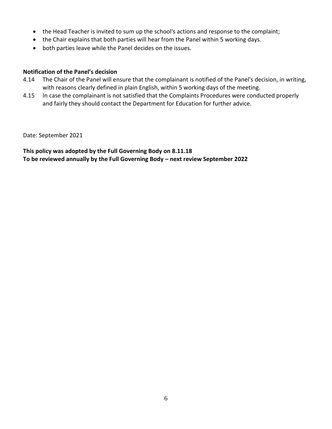- the Head Teacher is invited to sum up the school's actions and response to the complaint;
- the Chair explains that both parties will hear from the Panel within 5 working days.
- both parties leave while the Panel decides on the issues.

#### **Notification of the Panel's decision**

- 4.14 The Chair of the Panel will ensure that the complainant is notified of the Panel's decision, in writing, with reasons clearly defined in plain English, within 5 working days of the meeting.
- 4.15 In case the complainant is not satisfied that the Complaints Procedures were conducted properly and fairly they should contact the Department for Education for further advice.

Date: September 2021

**This policy was adopted by the Full Governing Body on 8.11.18 To be reviewed annually by the Full Governing Body – next review September 2022**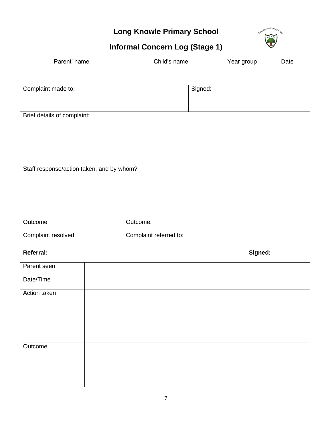## **Long Knowle Primary School**



## **Informal Concern Log (Stage 1)**

| Parent' name                              |  | Child's name           |         |  | Year group<br>Date |  |  |
|-------------------------------------------|--|------------------------|---------|--|--------------------|--|--|
|                                           |  |                        |         |  |                    |  |  |
| Complaint made to:                        |  |                        | Signed: |  |                    |  |  |
|                                           |  |                        |         |  |                    |  |  |
| Brief details of complaint:               |  |                        |         |  |                    |  |  |
|                                           |  |                        |         |  |                    |  |  |
|                                           |  |                        |         |  |                    |  |  |
|                                           |  |                        |         |  |                    |  |  |
| Staff response/action taken, and by whom? |  |                        |         |  |                    |  |  |
|                                           |  |                        |         |  |                    |  |  |
|                                           |  |                        |         |  |                    |  |  |
|                                           |  |                        |         |  |                    |  |  |
| Outcome:                                  |  | Outcome:               |         |  |                    |  |  |
| Complaint resolved                        |  | Complaint referred to: |         |  |                    |  |  |
| Referral:                                 |  |                        |         |  | Signed:            |  |  |
| Parent seen                               |  |                        |         |  |                    |  |  |
| Date/Time                                 |  |                        |         |  |                    |  |  |
| Action taken                              |  |                        |         |  |                    |  |  |
|                                           |  |                        |         |  |                    |  |  |
|                                           |  |                        |         |  |                    |  |  |
|                                           |  |                        |         |  |                    |  |  |
| Outcome:                                  |  |                        |         |  |                    |  |  |
|                                           |  |                        |         |  |                    |  |  |
|                                           |  |                        |         |  |                    |  |  |